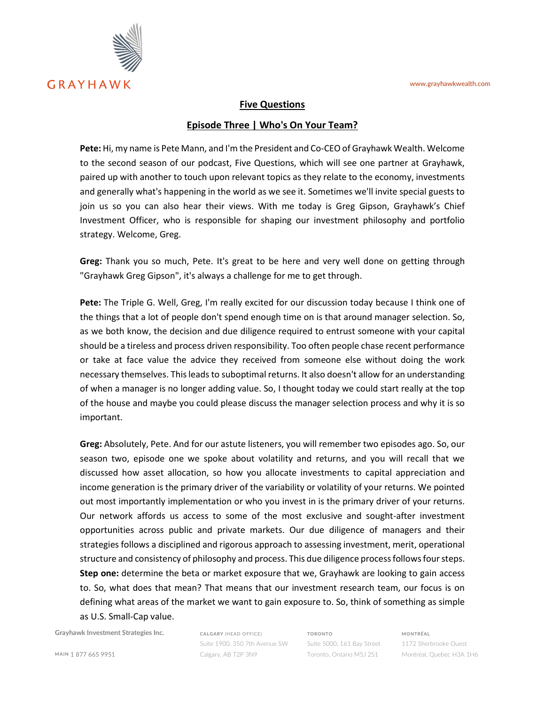

## **Five Questions**

## **Episode Three | Who's On Your Team?**

**Pete:** Hi, my name is Pete Mann, and I'm the President and Co-CEO of Grayhawk Wealth. Welcome to the second season of our podcast, Five Questions, which will see one partner at Grayhawk, paired up with another to touch upon relevant topics as they relate to the economy, investments and generally what's happening in the world as we see it. Sometimes we'll invite special guests to join us so you can also hear their views. With me today is Greg Gipson, Grayhawk's Chief Investment Officer, who is responsible for shaping our investment philosophy and portfolio strategy. Welcome, Greg.

**Greg:** Thank you so much, Pete. It's great to be here and very well done on getting through "Grayhawk Greg Gipson", it's always a challenge for me to get through.

**Pete:** The Triple G. Well, Greg, I'm really excited for our discussion today because I think one of the things that a lot of people don't spend enough time on is that around manager selection. So, as we both know, the decision and due diligence required to entrust someone with your capital should be a tireless and process driven responsibility. Too often people chase recent performance or take at face value the advice they received from someone else without doing the work necessary themselves. This leads to suboptimal returns. It also doesn't allow for an understanding of when a manager is no longer adding value. So, I thought today we could start really at the top of the house and maybe you could please discuss the manager selection process and why it is so important.

**Greg:** Absolutely, Pete. And for our astute listeners, you will remember two episodes ago. So, our season two, episode one we spoke about volatility and returns, and you will recall that we discussed how asset allocation, so how you allocate investments to capital appreciation and income generation is the primary driver of the variability or volatility of your returns. We pointed out most importantly implementation or who you invest in is the primary driver of your returns. Our network affords us access to some of the most exclusive and sought-after investment opportunities across public and private markets. Our due diligence of managers and their strategies follows a disciplined and rigorous approach to assessing investment, merit, operational structure and consistency of philosophy and process. This due diligence process follows four steps. **Step one:** determine the beta or market exposure that we, Grayhawk are looking to gain access to. So, what does that mean? That means that our investment research team, our focus is on defining what areas of the market we want to gain exposure to. So, think of something as simple as U.S. Small-Cap value.

**Grayhawk Investment Strategies Inc.**

**CALGARY** (HEAD OFFICE) Suite 1900, 350 7th Avenue SW Calgary, AB T2P 3N9

**TORONTO** Suite 5000, 161 Bay Street Toronto, Ontario M5J 2S1 **MONTRÉAL**

1172 Sherbrooke Ouest Montréal, Quebec H3A 1H6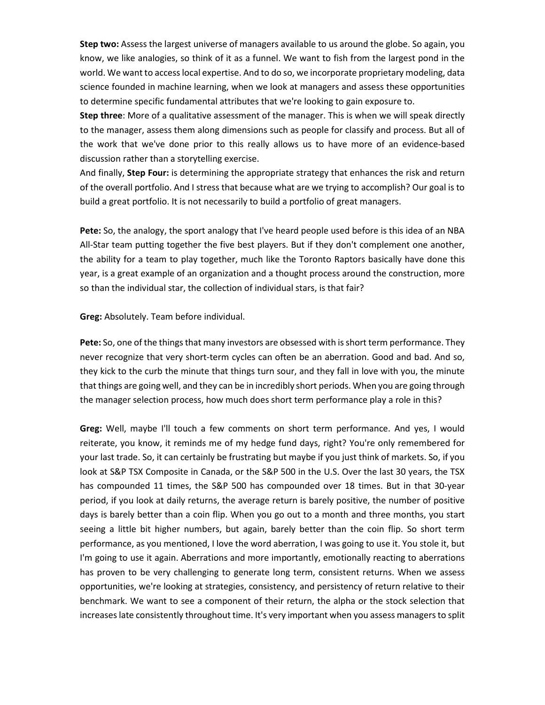**Step two:** Assess the largest universe of managers available to us around the globe. So again, you know, we like analogies, so think of it as a funnel. We want to fish from the largest pond in the world. We want to access local expertise. And to do so, we incorporate proprietary modeling, data science founded in machine learning, when we look at managers and assess these opportunities to determine specific fundamental attributes that we're looking to gain exposure to.

**Step three**: More of a qualitative assessment of the manager. This is when we will speak directly to the manager, assess them along dimensions such as people for classify and process. But all of the work that we've done prior to this really allows us to have more of an evidence-based discussion rather than a storytelling exercise.

And finally, **Step Four:** is determining the appropriate strategy that enhances the risk and return of the overall portfolio. And I stress that because what are we trying to accomplish? Our goal is to build a great portfolio. It is not necessarily to build a portfolio of great managers.

**Pete:** So, the analogy, the sport analogy that I've heard people used before is this idea of an NBA All-Star team putting together the five best players. But if they don't complement one another, the ability for a team to play together, much like the Toronto Raptors basically have done this year, is a great example of an organization and a thought process around the construction, more so than the individual star, the collection of individual stars, is that fair?

**Greg:** Absolutely. Team before individual.

**Pete:** So, one of the things that many investors are obsessed with is short term performance. They never recognize that very short-term cycles can often be an aberration. Good and bad. And so, they kick to the curb the minute that things turn sour, and they fall in love with you, the minute that things are going well, and they can be in incredibly short periods. When you are going through the manager selection process, how much does short term performance play a role in this?

**Greg:** Well, maybe I'll touch a few comments on short term performance. And yes, I would reiterate, you know, it reminds me of my hedge fund days, right? You're only remembered for your last trade. So, it can certainly be frustrating but maybe if you just think of markets. So, if you look at S&P TSX Composite in Canada, or the S&P 500 in the U.S. Over the last 30 years, the TSX has compounded 11 times, the S&P 500 has compounded over 18 times. But in that 30-year period, if you look at daily returns, the average return is barely positive, the number of positive days is barely better than a coin flip. When you go out to a month and three months, you start seeing a little bit higher numbers, but again, barely better than the coin flip. So short term performance, as you mentioned, I love the word aberration, I was going to use it. You stole it, but I'm going to use it again. Aberrations and more importantly, emotionally reacting to aberrations has proven to be very challenging to generate long term, consistent returns. When we assess opportunities, we're looking at strategies, consistency, and persistency of return relative to their benchmark. We want to see a component of their return, the alpha or the stock selection that increases late consistently throughout time. It's very important when you assess managers to split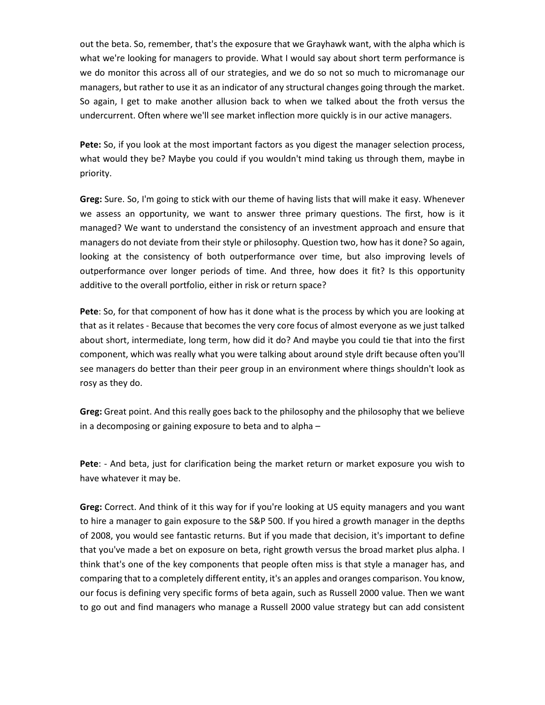out the beta. So, remember, that's the exposure that we Grayhawk want, with the alpha which is what we're looking for managers to provide. What I would say about short term performance is we do monitor this across all of our strategies, and we do so not so much to micromanage our managers, but rather to use it as an indicator of any structural changes going through the market. So again, I get to make another allusion back to when we talked about the froth versus the undercurrent. Often where we'll see market inflection more quickly is in our active managers.

**Pete:** So, if you look at the most important factors as you digest the manager selection process, what would they be? Maybe you could if you wouldn't mind taking us through them, maybe in priority.

**Greg:** Sure. So, I'm going to stick with our theme of having lists that will make it easy. Whenever we assess an opportunity, we want to answer three primary questions. The first, how is it managed? We want to understand the consistency of an investment approach and ensure that managers do not deviate from their style or philosophy. Question two, how has it done? So again, looking at the consistency of both outperformance over time, but also improving levels of outperformance over longer periods of time. And three, how does it fit? Is this opportunity additive to the overall portfolio, either in risk or return space?

**Pete**: So, for that component of how has it done what is the process by which you are looking at that as it relates - Because that becomes the very core focus of almost everyone as we just talked about short, intermediate, long term, how did it do? And maybe you could tie that into the first component, which was really what you were talking about around style drift because often you'll see managers do better than their peer group in an environment where things shouldn't look as rosy as they do.

**Greg:** Great point. And this really goes back to the philosophy and the philosophy that we believe in a decomposing or gaining exposure to beta and to alpha –

**Pete**: - And beta, just for clarification being the market return or market exposure you wish to have whatever it may be.

**Greg:** Correct. And think of it this way for if you're looking at US equity managers and you want to hire a manager to gain exposure to the S&P 500. If you hired a growth manager in the depths of 2008, you would see fantastic returns. But if you made that decision, it's important to define that you've made a bet on exposure on beta, right growth versus the broad market plus alpha. I think that's one of the key components that people often miss is that style a manager has, and comparing that to a completely different entity, it's an apples and oranges comparison. You know, our focus is defining very specific forms of beta again, such as Russell 2000 value. Then we want to go out and find managers who manage a Russell 2000 value strategy but can add consistent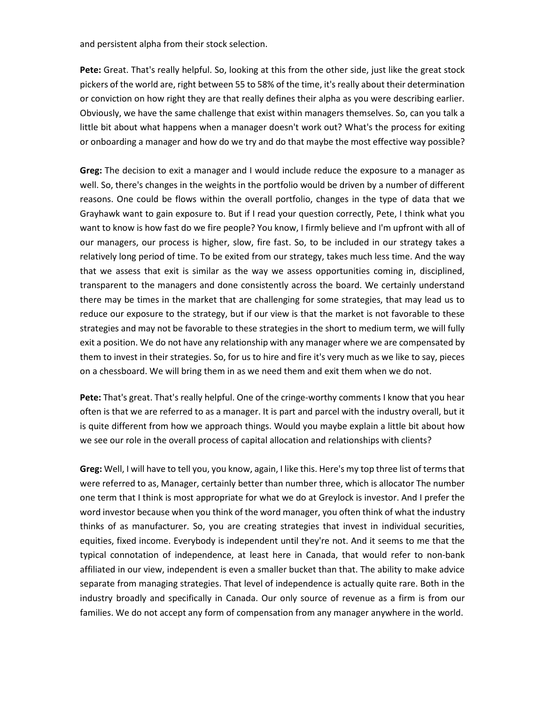and persistent alpha from their stock selection.

**Pete:** Great. That's really helpful. So, looking at this from the other side, just like the great stock pickers of the world are, right between 55 to 58% of the time, it's really about their determination or conviction on how right they are that really defines their alpha as you were describing earlier. Obviously, we have the same challenge that exist within managers themselves. So, can you talk a little bit about what happens when a manager doesn't work out? What's the process for exiting or onboarding a manager and how do we try and do that maybe the most effective way possible?

**Greg:** The decision to exit a manager and I would include reduce the exposure to a manager as well. So, there's changes in the weights in the portfolio would be driven by a number of different reasons. One could be flows within the overall portfolio, changes in the type of data that we Grayhawk want to gain exposure to. But if I read your question correctly, Pete, I think what you want to know is how fast do we fire people? You know, I firmly believe and I'm upfront with all of our managers, our process is higher, slow, fire fast. So, to be included in our strategy takes a relatively long period of time. To be exited from our strategy, takes much less time. And the way that we assess that exit is similar as the way we assess opportunities coming in, disciplined, transparent to the managers and done consistently across the board. We certainly understand there may be times in the market that are challenging for some strategies, that may lead us to reduce our exposure to the strategy, but if our view is that the market is not favorable to these strategies and may not be favorable to these strategies in the short to medium term, we will fully exit a position. We do not have any relationship with any manager where we are compensated by them to invest in their strategies. So, for us to hire and fire it's very much as we like to say, pieces on a chessboard. We will bring them in as we need them and exit them when we do not.

**Pete:** That's great. That's really helpful. One of the cringe-worthy comments I know that you hear often is that we are referred to as a manager. It is part and parcel with the industry overall, but it is quite different from how we approach things. Would you maybe explain a little bit about how we see our role in the overall process of capital allocation and relationships with clients?

**Greg:** Well, I will have to tell you, you know, again, I like this. Here's my top three list of terms that were referred to as, Manager, certainly better than number three, which is allocator The number one term that I think is most appropriate for what we do at Greylock is investor. And I prefer the word investor because when you think of the word manager, you often think of what the industry thinks of as manufacturer. So, you are creating strategies that invest in individual securities, equities, fixed income. Everybody is independent until they're not. And it seems to me that the typical connotation of independence, at least here in Canada, that would refer to non-bank affiliated in our view, independent is even a smaller bucket than that. The ability to make advice separate from managing strategies. That level of independence is actually quite rare. Both in the industry broadly and specifically in Canada. Our only source of revenue as a firm is from our families. We do not accept any form of compensation from any manager anywhere in the world.